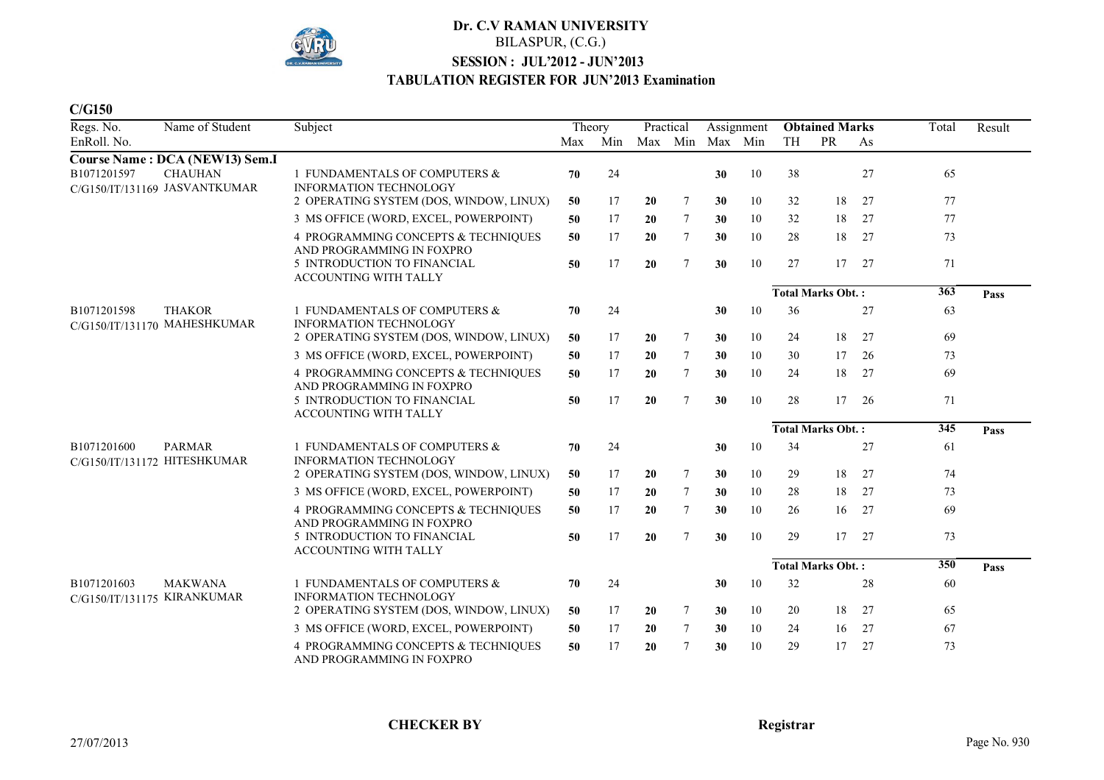

#### **C/G150**

| Regs. No.                                  | Name of Student                                 | Subject                                                          | Theory |     | Practical |         | Assignment |         | <b>Obtained Marks</b> |                          |    | Total            | Result |
|--------------------------------------------|-------------------------------------------------|------------------------------------------------------------------|--------|-----|-----------|---------|------------|---------|-----------------------|--------------------------|----|------------------|--------|
| EnRoll. No.                                |                                                 |                                                                  | Max    | Min |           | Max Min |            | Max Min | <b>TH</b>             | PR                       | As |                  |        |
|                                            | <b>Course Name: DCA (NEW13) Sem.I</b>           |                                                                  |        |     |           |         |            |         |                       |                          |    |                  |        |
| B1071201597                                | <b>CHAUHAN</b><br>C/G150/IT/131169 JASVANTKUMAR | 1 FUNDAMENTALS OF COMPUTERS &<br><b>INFORMATION TECHNOLOGY</b>   | 70     | 24  |           |         | 30         | 10      | 38                    |                          | 27 | 65               |        |
|                                            |                                                 | 2 OPERATING SYSTEM (DOS, WINDOW, LINUX)                          | 50     | 17  | 20        | 7       | 30         | 10      | 32                    | 18                       | 27 | 77               |        |
|                                            |                                                 | 3 MS OFFICE (WORD, EXCEL, POWERPOINT)                            | 50     | 17  | 20        | 7       | 30         | 10      | 32                    | 18                       | 27 | 77               |        |
|                                            |                                                 | 4 PROGRAMMING CONCEPTS & TECHNIQUES<br>AND PROGRAMMING IN FOXPRO | 50     | 17  | 20        | 7       | 30         | 10      | 28                    | 18                       | 27 | 73               |        |
|                                            |                                                 | 5 INTRODUCTION TO FINANCIAL<br>ACCOUNTING WITH TALLY             | 50     | 17  | 20        | $\tau$  | 30         | 10      | 27                    | 17                       | 27 | 71               |        |
|                                            |                                                 |                                                                  |        |     |           |         |            |         |                       | <b>Total Marks Obt.:</b> |    | $\overline{363}$ | Pass   |
| B1071201598                                | <b>THAKOR</b><br>C/G150/IT/131170 MAHESHKUMAR   | 1 FUNDAMENTALS OF COMPUTERS &<br><b>INFORMATION TECHNOLOGY</b>   | 70     | 24  |           |         | 30         | 10      | 36                    |                          | 27 | 63               |        |
|                                            |                                                 | 2 OPERATING SYSTEM (DOS, WINDOW, LINUX)                          | 50     | 17  | 20        | 7       | 30         | 10      | 24                    | 18                       | 27 | 69               |        |
|                                            |                                                 | 3 MS OFFICE (WORD, EXCEL, POWERPOINT)                            | 50     | 17  | 20        | $\tau$  | 30         | 10      | 30                    | 17                       | 26 | 73               |        |
|                                            |                                                 | 4 PROGRAMMING CONCEPTS & TECHNIQUES<br>AND PROGRAMMING IN FOXPRO | 50     | 17  | 20        | 7       | 30         | 10      | 24                    | 18                       | 27 | 69               |        |
|                                            |                                                 | 5 INTRODUCTION TO FINANCIAL<br><b>ACCOUNTING WITH TALLY</b>      | 50     | 17  | 20        | $\tau$  | 30         | 10      | 28                    | 17                       | 26 | 71               |        |
|                                            |                                                 |                                                                  |        |     |           |         |            |         |                       | <b>Total Marks Obt.:</b> |    | $\overline{345}$ | Pass   |
| B1071201600                                | <b>PARMAR</b><br>C/G150/IT/131172 HITESHKUMAR   | 1 FUNDAMENTALS OF COMPUTERS &<br><b>INFORMATION TECHNOLOGY</b>   | 70     | 24  |           |         | 30         | 10      | 34                    |                          | 27 | 61               |        |
|                                            |                                                 | 2 OPERATING SYSTEM (DOS, WINDOW, LINUX)                          | 50     | 17  | 20        | 7       | 30         | 10      | 29                    | 18                       | 27 | 74               |        |
|                                            |                                                 | 3 MS OFFICE (WORD, EXCEL, POWERPOINT)                            | 50     | 17  | 20        | $\tau$  | 30         | 10      | 28                    | 18                       | 27 | 73               |        |
|                                            |                                                 | 4 PROGRAMMING CONCEPTS & TECHNIQUES<br>AND PROGRAMMING IN FOXPRO | 50     | 17  | 20        | $\tau$  | 30         | 10      | 26                    | 16                       | 27 | 69               |        |
|                                            |                                                 | 5 INTRODUCTION TO FINANCIAL<br>ACCOUNTING WITH TALLY             | 50     | 17  | 20        | $\tau$  | 30         | 10      | 29                    | 17                       | 27 | 73               |        |
|                                            |                                                 |                                                                  |        |     |           |         |            |         |                       | <b>Total Marks Obt.:</b> |    | 350              | Pass   |
| B1071201603<br>C/G150/IT/131175 KIRANKUMAR | <b>MAKWANA</b>                                  | 1 FUNDAMENTALS OF COMPUTERS &<br><b>INFORMATION TECHNOLOGY</b>   | 70     | 24  |           |         | 30         | 10      | 32                    |                          | 28 | 60               |        |
|                                            |                                                 | 2 OPERATING SYSTEM (DOS, WINDOW, LINUX)                          | 50     | 17  | 20        | 7       | 30         | 10      | 20                    | 18                       | 27 | 65               |        |
|                                            |                                                 | 3 MS OFFICE (WORD, EXCEL, POWERPOINT)                            | 50     | 17  | 20        | 7       | 30         | 10      | 24                    | 16                       | 27 | 67               |        |
|                                            |                                                 | 4 PROGRAMMING CONCEPTS & TECHNIQUES<br>AND PROGRAMMING IN FOXPRO | 50     | 17  | 20        | $\tau$  | 30         | 10      | 29                    | 17                       | 27 | 73               |        |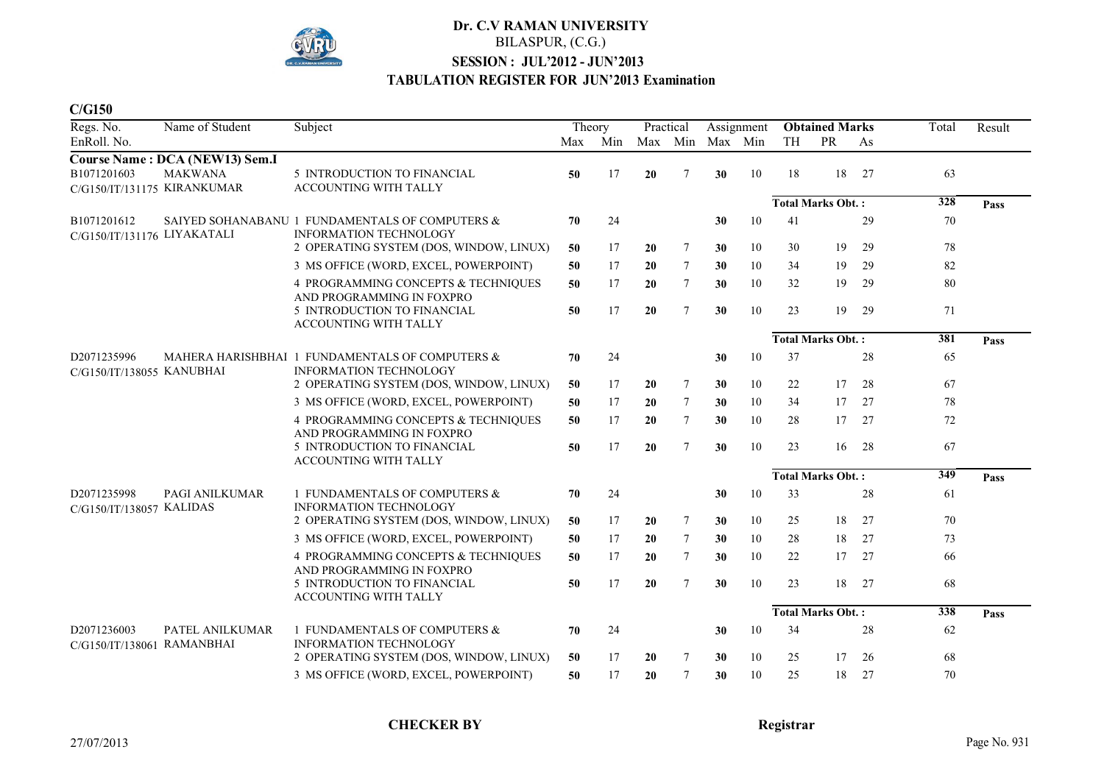

#### **C/G150**

| Regs. No.                                | Name of Student                       | Subject                                                                          | Theory |     | Practical |                | Assignment      |    | <b>Obtained Marks</b>    |                          |    | Total            | Result |
|------------------------------------------|---------------------------------------|----------------------------------------------------------------------------------|--------|-----|-----------|----------------|-----------------|----|--------------------------|--------------------------|----|------------------|--------|
| EnRoll. No.                              |                                       |                                                                                  | Max    | Min |           |                | Max Min Max Min |    | TH                       | PR                       | As |                  |        |
|                                          | <b>Course Name: DCA (NEW13) Sem.I</b> |                                                                                  |        |     |           |                |                 |    |                          |                          |    |                  |        |
| B1071201603                              | <b>MAKWANA</b>                        | 5 INTRODUCTION TO FINANCIAL<br>ACCOUNTING WITH TALLY                             | 50     | 17  | 20        | 7              | 30              | 10 | 18                       | 18                       | 27 | 63               |        |
| C/G150/IT/131175 KIRANKUMAR              |                                       |                                                                                  |        |     |           |                |                 |    |                          | <b>Total Marks Obt.:</b> |    | $\overline{328}$ | Pass   |
| B1071201612                              |                                       | SAIYED SOHANABANU 1 FUNDAMENTALS OF COMPUTERS &                                  | 70     | 24  |           |                | 30              | 10 | 41                       |                          | 29 | 70               |        |
| C/G150/IT/131176 LIYAKATALI              |                                       | <b>INFORMATION TECHNOLOGY</b>                                                    |        |     |           |                |                 |    |                          |                          |    |                  |        |
|                                          |                                       | 2 OPERATING SYSTEM (DOS, WINDOW, LINUX)                                          | 50     | 17  | 20        | $\tau$         | 30              | 10 | 30                       | 19                       | 29 | 78               |        |
|                                          |                                       | 3 MS OFFICE (WORD, EXCEL, POWERPOINT)                                            | 50     | 17  | 20        | $\tau$         | 30              | 10 | 34                       | 19                       | 29 | 82               |        |
|                                          |                                       | 4 PROGRAMMING CONCEPTS & TECHNIQUES<br>AND PROGRAMMING IN FOXPRO                 | 50     | 17  | 20        | $\tau$         | 30              | 10 | 32                       | 19                       | 29 | 80               |        |
|                                          |                                       | 5 INTRODUCTION TO FINANCIAL<br>ACCOUNTING WITH TALLY                             | 50     | 17  | 20        | $\tau$         | 30              | 10 | 23                       | 19                       | 29 | 71               |        |
|                                          |                                       |                                                                                  |        |     |           |                |                 |    |                          | <b>Total Marks Obt.:</b> |    | 381              | Pass   |
| D2071235996<br>C/G150/IT/138055 KANUBHAI |                                       | MAHERA HARISHBHAI 1 FUNDAMENTALS OF COMPUTERS &<br><b>INFORMATION TECHNOLOGY</b> | 70     | 24  |           |                | 30              | 10 | 37                       |                          | 28 | 65               |        |
|                                          |                                       | 2 OPERATING SYSTEM (DOS, WINDOW, LINUX)                                          | 50     | 17  | 20        | $\tau$         | 30              | 10 | 22                       | 17                       | 28 | 67               |        |
|                                          |                                       | 3 MS OFFICE (WORD, EXCEL, POWERPOINT)                                            | 50     | 17  | 20        | 7              | 30              | 10 | 34                       | 17                       | 27 | 78               |        |
|                                          |                                       | 4 PROGRAMMING CONCEPTS & TECHNIQUES<br>AND PROGRAMMING IN FOXPRO                 | 50     | 17  | 20        | $\tau$         | 30              | 10 | 28                       | 17                       | 27 | 72               |        |
|                                          |                                       | 5 INTRODUCTION TO FINANCIAL<br><b>ACCOUNTING WITH TALLY</b>                      | 50     | 17  | 20        | $\overline{7}$ | 30              | 10 | 23                       | 16                       | 28 | 67               |        |
|                                          |                                       |                                                                                  |        |     |           |                |                 |    |                          | <b>Total Marks Obt.:</b> |    | $\frac{1}{349}$  | Pass   |
| D2071235998<br>C/G150/IT/138057 KALIDAS  | PAGI ANILKUMAR                        | 1 FUNDAMENTALS OF COMPUTERS &<br>INFORMATION TECHNOLOGY                          | 70     | 24  |           |                | 30              | 10 | 33                       |                          | 28 | 61               |        |
|                                          |                                       | 2 OPERATING SYSTEM (DOS, WINDOW, LINUX)                                          | 50     | 17  | 20        | $\tau$         | 30              | 10 | 25                       | 18                       | 27 | 70               |        |
|                                          |                                       | 3 MS OFFICE (WORD, EXCEL, POWERPOINT)                                            | 50     | 17  | 20        | $\tau$         | 30              | 10 | 28                       | 18                       | 27 | 73               |        |
|                                          |                                       | 4 PROGRAMMING CONCEPTS & TECHNIQUES<br>AND PROGRAMMING IN FOXPRO                 | 50     | 17  | 20        | $\tau$         | 30              | 10 | 22                       | 17                       | 27 | 66               |        |
|                                          |                                       | 5 INTRODUCTION TO FINANCIAL<br><b>ACCOUNTING WITH TALLY</b>                      | 50     | 17  | 20        | $\overline{7}$ | 30              | 10 | 23                       | 18                       | 27 | 68               |        |
|                                          |                                       |                                                                                  |        |     |           |                |                 |    | <b>Total Marks Obt.:</b> |                          |    | 338              | Pass   |
| D2071236003<br>C/G150/IT/138061          | PATEL ANILKUMAR<br><b>RAMANBHAI</b>   | 1 FUNDAMENTALS OF COMPUTERS &<br><b>INFORMATION TECHNOLOGY</b>                   | 70     | 24  |           |                | 30              | 10 | 34                       |                          | 28 | 62               |        |
|                                          |                                       | 2 OPERATING SYSTEM (DOS, WINDOW, LINUX)                                          | 50     | 17  | 20        | 7              | 30              | 10 | 25                       | 17                       | 26 | 68               |        |
|                                          |                                       | 3 MS OFFICE (WORD, EXCEL, POWERPOINT)                                            | 50     | 17  | 20        | $\tau$         | 30              | 10 | 25                       | 18                       | 27 | 70               |        |

**CHECKER BY Registrar**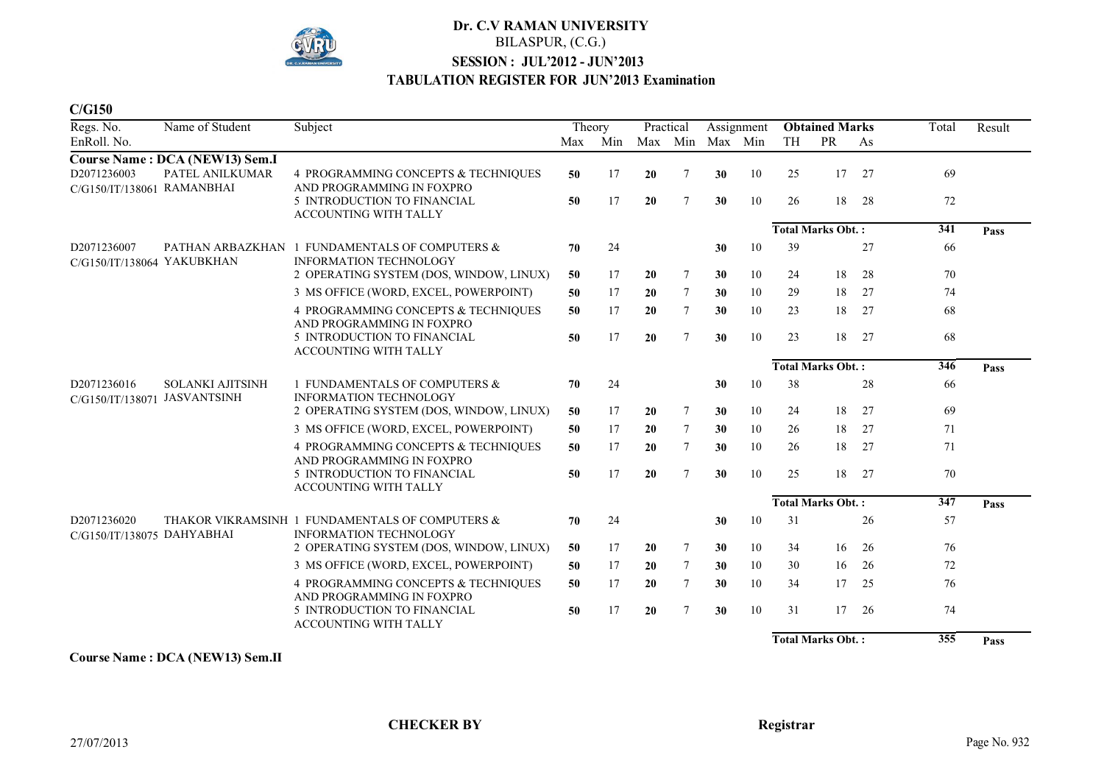

**C/G150**

| Regs. No.                                   | Name of Student                       | Subject                                                                         |     | Theory |    | Practical       |                 | Assignment |    | <b>Obtained Marks</b>    |    | Total | Result |
|---------------------------------------------|---------------------------------------|---------------------------------------------------------------------------------|-----|--------|----|-----------------|-----------------|------------|----|--------------------------|----|-------|--------|
| EnRoll. No.                                 |                                       |                                                                                 | Max | Min    |    |                 | Max Min Max Min |            | TH | PR                       | As |       |        |
|                                             | <b>Course Name: DCA (NEW13) Sem.I</b> |                                                                                 |     |        |    |                 |                 |            |    |                          |    |       |        |
| D2071236003<br>C/G150/IT/138061 RAMANBHAI   | PATEL ANILKUMAR                       | 4 PROGRAMMING CONCEPTS & TECHNIQUES<br>AND PROGRAMMING IN FOXPRO                | 50  | 17     | 20 | 7               | 30              | 10         | 25 | 17                       | 27 | 69    |        |
|                                             |                                       | 5 INTRODUCTION TO FINANCIAL<br><b>ACCOUNTING WITH TALLY</b>                     | 50  | 17     | 20 | $7\phantom{.0}$ | 30              | 10         | 26 | 18                       | 28 | 72    |        |
|                                             |                                       |                                                                                 |     |        |    |                 |                 |            |    | <b>Total Marks Obt.:</b> |    | 341   | Pass   |
| D2071236007<br>C/G150/IT/138064 YAKUBKHAN   |                                       | PATHAN ARBAZKHAN 1 FUNDAMENTALS OF COMPUTERS &<br><b>INFORMATION TECHNOLOGY</b> | 70  | 24     |    |                 | 30              | 10         | 39 |                          | 27 | 66    |        |
|                                             |                                       | 2 OPERATING SYSTEM (DOS, WINDOW, LINUX)                                         | 50  | 17     | 20 | $\tau$          | 30              | 10         | 24 | 18                       | 28 | 70    |        |
|                                             |                                       | 3 MS OFFICE (WORD, EXCEL, POWERPOINT)                                           | 50  | 17     | 20 | 7               | 30              | 10         | 29 | 18                       | 27 | 74    |        |
|                                             |                                       | 4 PROGRAMMING CONCEPTS & TECHNIQUES<br>AND PROGRAMMING IN FOXPRO                | 50  | 17     | 20 | $\tau$          | 30              | 10         | 23 | 18                       | 27 | 68    |        |
|                                             |                                       | 5 INTRODUCTION TO FINANCIAL<br><b>ACCOUNTING WITH TALLY</b>                     | 50  | 17     | 20 | $\overline{7}$  | 30              | 10         | 23 | 18                       | 27 | 68    |        |
|                                             |                                       |                                                                                 |     |        |    |                 |                 |            |    | <b>Total Marks Obt.:</b> |    | 346   | Pass   |
| D2071236016<br>C/G150/IT/138071 JASVANTSINH | <b>SOLANKI AJITSINH</b>               | 1 FUNDAMENTALS OF COMPUTERS &<br><b>INFORMATION TECHNOLOGY</b>                  | 70  | 24     |    |                 | 30              | 10         | 38 |                          | 28 | 66    |        |
|                                             |                                       | 2 OPERATING SYSTEM (DOS, WINDOW, LINUX)                                         | 50  | 17     | 20 | 7               | 30              | 10         | 24 | 18                       | 27 | 69    |        |
|                                             |                                       | 3 MS OFFICE (WORD, EXCEL, POWERPOINT)                                           | 50  | 17     | 20 | $\tau$          | 30              | 10         | 26 | 18                       | 27 | 71    |        |
|                                             |                                       | 4 PROGRAMMING CONCEPTS & TECHNIQUES<br>AND PROGRAMMING IN FOXPRO                | 50  | 17     | 20 | $\tau$          | 30              | 10         | 26 | 18                       | 27 | 71    |        |
|                                             |                                       | 5 INTRODUCTION TO FINANCIAL<br><b>ACCOUNTING WITH TALLY</b>                     | 50  | 17     | 20 | $\tau$          | 30              | 10         | 25 | 18                       | 27 | 70    |        |
|                                             |                                       |                                                                                 |     |        |    |                 |                 |            |    | <b>Total Marks Obt.:</b> |    | 347   | Pass   |
| D2071236020<br>C/G150/IT/138075 DAHYABHAI   |                                       | THAKOR VIKRAMSINH 1 FUNDAMENTALS OF COMPUTERS &<br>INFORMATION TECHNOLOGY       | 70  | 24     |    |                 | 30              | 10         | 31 |                          | 26 | 57    |        |
|                                             |                                       | 2 OPERATING SYSTEM (DOS, WINDOW, LINUX)                                         | 50  | 17     | 20 | 7               | 30              | 10         | 34 | 16                       | 26 | 76    |        |
|                                             |                                       | 3 MS OFFICE (WORD, EXCEL, POWERPOINT)                                           | 50  | 17     | 20 | 7               | 30              | 10         | 30 | 16                       | 26 | 72    |        |
|                                             |                                       | 4 PROGRAMMING CONCEPTS & TECHNIQUES<br>AND PROGRAMMING IN FOXPRO                | 50  | 17     | 20 | $\tau$          | 30              | 10         | 34 | 17                       | 25 | 76    |        |
|                                             |                                       | 5 INTRODUCTION TO FINANCIAL<br><b>ACCOUNTING WITH TALLY</b>                     | 50  | 17     | 20 | $\tau$          | 30              | 10         | 31 | 17                       | 26 | 74    |        |
|                                             |                                       |                                                                                 |     |        |    |                 |                 |            |    | <b>Total Marks Obt.:</b> |    | 355   | Pass   |

**Course Name : DCA (NEW13) Sem.II**

**CHECKER BY Registrar**

27/07/2013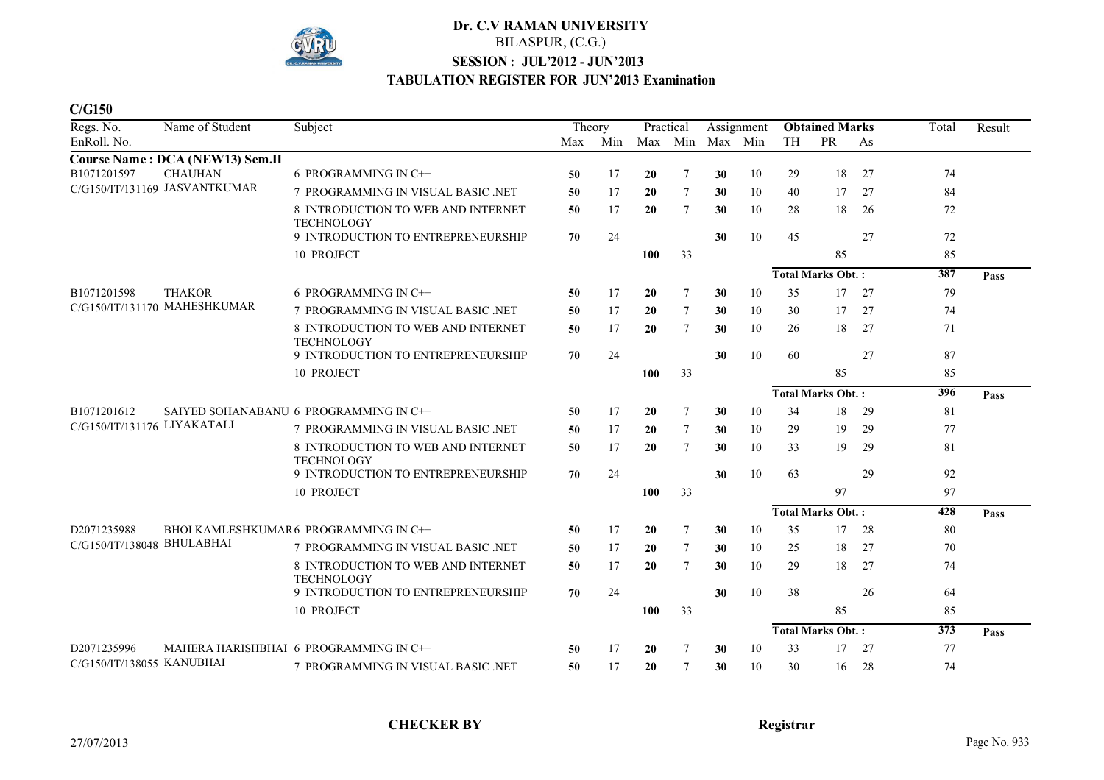

**C/G150**

| Regs. No.                     | Name of Student                               | Subject                                                 |     | Theory |     | Practical |    | Assignment |    | <b>Obtained Marks</b>    |    | Total            | Result |
|-------------------------------|-----------------------------------------------|---------------------------------------------------------|-----|--------|-----|-----------|----|------------|----|--------------------------|----|------------------|--------|
| EnRoll. No.                   |                                               |                                                         | Max | Min    |     | Max Min   |    | Max Min    | TH | <b>PR</b>                | As |                  |        |
|                               | Course Name: DCA (NEW13) Sem.II               |                                                         |     |        |     |           |    |            |    |                          |    |                  |        |
| B1071201597                   | <b>CHAUHAN</b>                                | 6 PROGRAMMING IN C++                                    | 50  | 17     | 20  | 7         | 30 | 10         | 29 | 18                       | 27 | 74               |        |
| C/G150/IT/131169 JASVANTKUMAR |                                               | 7 PROGRAMMING IN VISUAL BASIC .NET                      | 50  | 17     | 20  | 7         | 30 | 10         | 40 | 17                       | 27 | 84               |        |
|                               |                                               | 8 INTRODUCTION TO WEB AND INTERNET<br><b>TECHNOLOGY</b> | 50  | 17     | 20  | 7         | 30 | 10         | 28 | 18                       | 26 | 72               |        |
|                               |                                               | 9 INTRODUCTION TO ENTREPRENEURSHIP                      | 70  | 24     |     |           | 30 | 10         | 45 |                          | 27 | 72               |        |
|                               |                                               | 10 PROJECT                                              |     |        | 100 | 33        |    |            |    | 85                       |    | 85               |        |
|                               |                                               |                                                         |     |        |     |           |    |            |    | <b>Total Marks Obt.:</b> |    | 387              | Pass   |
| B1071201598                   | <b>THAKOR</b><br>C/G150/IT/131170 MAHESHKUMAR | 6 PROGRAMMING IN C++                                    | 50  | 17     | 20  | 7         | 30 | 10         | 35 | 17                       | 27 | 79               |        |
|                               |                                               | 7 PROGRAMMING IN VISUAL BASIC .NET                      | 50  | 17     | 20  | 7         | 30 | 10         | 30 | 17                       | 27 | 74               |        |
|                               |                                               | 8 INTRODUCTION TO WEB AND INTERNET<br><b>TECHNOLOGY</b> | 50  | 17     | 20  | $\tau$    | 30 | 10         | 26 | 18                       | 27 | 71               |        |
|                               |                                               | 9 INTRODUCTION TO ENTREPRENEURSHIP                      | 70  | 24     |     |           | 30 | 10         | 60 |                          | 27 | 87               |        |
|                               |                                               | 10 PROJECT                                              |     |        | 100 | 33        |    |            |    | 85                       |    | 85               |        |
|                               |                                               |                                                         |     |        |     |           |    |            |    | <b>Total Marks Obt.:</b> |    | 396              | Pass   |
| B1071201612                   |                                               | SAIYED SOHANABANU 6 PROGRAMMING IN C++                  | 50  | 17     | 20  | 7         | 30 | 10         | 34 | 18                       | 29 | 81               |        |
| C/G150/IT/131176 LIYAKATALI   |                                               | 7 PROGRAMMING IN VISUAL BASIC .NET                      | 50  | 17     | 20  | 7         | 30 | 10         | 29 | 19                       | 29 | 77               |        |
|                               |                                               | 8 INTRODUCTION TO WEB AND INTERNET<br><b>TECHNOLOGY</b> | 50  | 17     | 20  | $\tau$    | 30 | 10         | 33 | 19                       | 29 | 81               |        |
|                               |                                               | 9 INTRODUCTION TO ENTREPRENEURSHIP                      | 70  | 24     |     |           | 30 | 10         | 63 |                          | 29 | 92               |        |
|                               |                                               | 10 PROJECT                                              |     |        | 100 | 33        |    |            |    | 97                       |    | 97               |        |
|                               |                                               |                                                         |     |        |     |           |    |            |    | <b>Total Marks Obt.:</b> |    | $\overline{428}$ | Pass   |
| D2071235988                   |                                               | BHOI KAMLESHKUMAR6 PROGRAMMING IN C++                   | 50  | 17     | 20  | 7         | 30 | 10         | 35 | 17                       | 28 | 80               |        |
| C/G150/IT/138048 BHULABHAI    |                                               | 7 PROGRAMMING IN VISUAL BASIC .NET                      | 50  | 17     | 20  | 7         | 30 | 10         | 25 | 18                       | 27 | 70               |        |
|                               |                                               | 8 INTRODUCTION TO WEB AND INTERNET<br><b>TECHNOLOGY</b> | 50  | 17     | 20  | 7         | 30 | 10         | 29 | 18                       | 27 | 74               |        |
|                               |                                               | 9 INTRODUCTION TO ENTREPRENEURSHIP                      | 70  | 24     |     |           | 30 | 10         | 38 |                          | 26 | 64               |        |
|                               |                                               | 10 PROJECT                                              |     |        | 100 | 33        |    |            |    | 85                       |    | 85               |        |
|                               |                                               |                                                         |     |        |     |           |    |            |    | <b>Total Marks Obt.:</b> |    | $\overline{373}$ | Pass   |
| D2071235996                   |                                               | MAHERA HARISHBHAI 6 PROGRAMMING IN C++                  | 50  | 17     | 20  | 7         | 30 | 10         | 33 | 17                       | 27 | 77               |        |
| C/G150/IT/138055 KANUBHAI     |                                               | 7 PROGRAMMING IN VISUAL BASIC .NET                      | 50  | 17     | 20  | 7         | 30 | 10         | 30 | 16                       | 28 | 74               |        |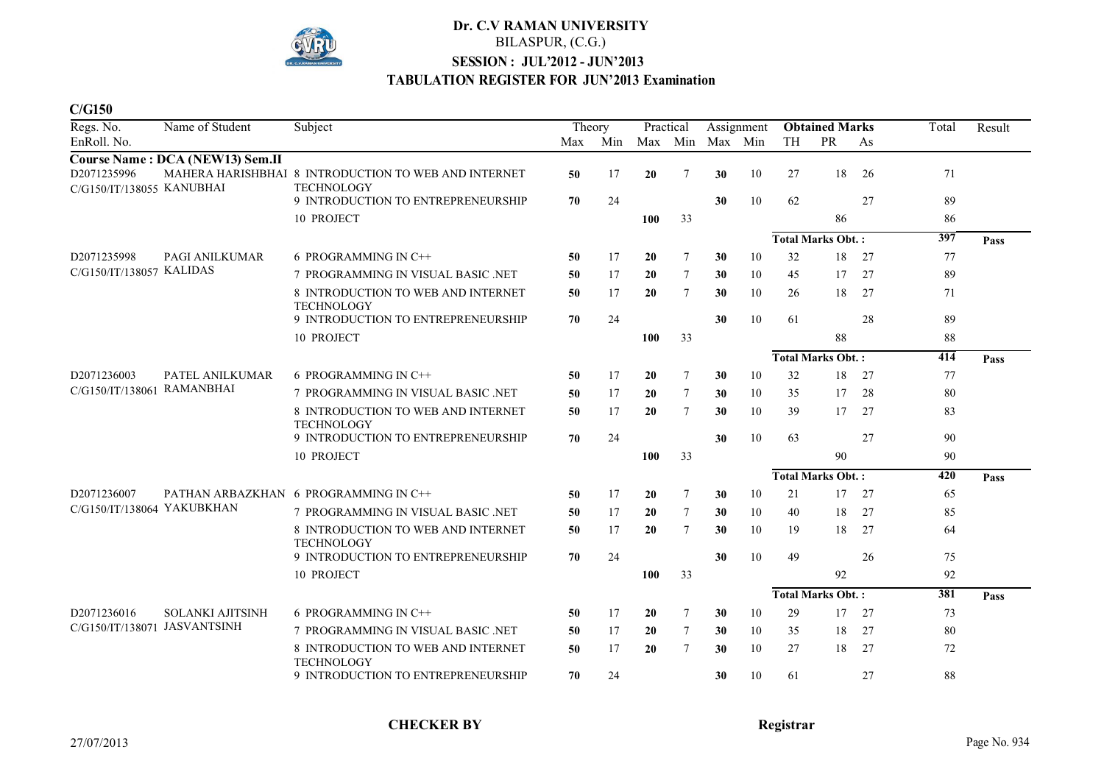

**C/G150**

| Regs. No.                                | Name of Student                     | Subject                                                                   | Theory |     | Practical |        | Assignment      |    | <b>Obtained Marks</b> |                          |     | Total       | Result |
|------------------------------------------|-------------------------------------|---------------------------------------------------------------------------|--------|-----|-----------|--------|-----------------|----|-----------------------|--------------------------|-----|-------------|--------|
| EnRoll. No.                              |                                     |                                                                           | Max    | Min |           |        | Max Min Max Min |    | TH                    | <b>PR</b>                | As  |             |        |
|                                          | Course Name: DCA (NEW13) Sem.II     |                                                                           |        |     |           |        |                 |    |                       |                          |     |             |        |
| D2071235996<br>C/G150/IT/138055 KANUBHAI |                                     | MAHERA HARISHBHAI 8 INTRODUCTION TO WEB AND INTERNET<br><b>TECHNOLOGY</b> | 50     | 17  | 20        | 7      | 30              | 10 | 27                    | 18                       | 26  | 71          |        |
|                                          |                                     | 9 INTRODUCTION TO ENTREPRENEURSHIP                                        | 70     | 24  |           |        | 30              | 10 | 62                    |                          | 27  | 89          |        |
|                                          |                                     | 10 PROJECT                                                                |        |     | 100       | 33     |                 |    |                       | 86                       |     | 86          |        |
|                                          |                                     |                                                                           |        |     |           |        |                 |    |                       | <b>Total Marks Obt.:</b> |     | 397         | Pass   |
| D2071235998<br>C/G150/IT/138057 KALIDAS  | PAGI ANILKUMAR                      | 6 PROGRAMMING IN C++                                                      | 50     | 17  | 20        | $\tau$ | 30              | 10 | 32                    | 18                       | 27  | 77          |        |
|                                          |                                     | 7 PROGRAMMING IN VISUAL BASIC .NET                                        | 50     | 17  | 20        | 7      | 30              | 10 | 45                    | 17                       | 27  | 89          |        |
|                                          |                                     | 8 INTRODUCTION TO WEB AND INTERNET<br><b>TECHNOLOGY</b>                   | 50     | 17  | 20        | $\tau$ | 30              | 10 | 26                    | 18                       | 27  | 71          |        |
|                                          |                                     | 9 INTRODUCTION TO ENTREPRENEURSHIP                                        | 70     | 24  |           |        | 30              | 10 | 61                    |                          | 28  | 89          |        |
|                                          |                                     | 10 PROJECT                                                                |        |     | 100       | 33     |                 |    |                       | 88                       |     | 88          |        |
|                                          |                                     |                                                                           |        |     |           |        |                 |    |                       | <b>Total Marks Obt.:</b> |     | 414         | Pass   |
| D2071236003<br>C/G150/IT/138061          | PATEL ANILKUMAR<br><b>RAMANBHAI</b> | 6 PROGRAMMING IN C++                                                      | 50     | 17  | 20        | 7      | 30              | 10 | 32                    | 18                       | 27  | 77          |        |
|                                          |                                     | 7 PROGRAMMING IN VISUAL BASIC .NET                                        | 50     | 17  | 20        | 7      | 30              | 10 | 35                    | 17                       | 28  | 80          |        |
|                                          |                                     | 8 INTRODUCTION TO WEB AND INTERNET<br><b>TECHNOLOGY</b>                   | 50     | 17  | 20        | $\tau$ | 30              | 10 | 39                    | 17                       | 27  | 83          |        |
|                                          |                                     | 9 INTRODUCTION TO ENTREPRENEURSHIP                                        | 70     | 24  |           |        | 30              | 10 | 63                    |                          | 27  | 90          |        |
|                                          |                                     | 10 PROJECT                                                                |        |     | 100       | 33     |                 |    |                       | 90                       |     | 90          |        |
|                                          |                                     |                                                                           |        |     |           |        |                 |    |                       | <b>Total Marks Obt.:</b> | 420 | <b>Pass</b> |        |
| D2071236007                              |                                     | PATHAN ARBAZKHAN 6 PROGRAMMING IN C++                                     | 50     | 17  | 20        | $\tau$ | 30              | 10 | 21                    | 17                       | 27  | 65          |        |
| C/G150/IT/138064 YAKUBKHAN               |                                     | 7 PROGRAMMING IN VISUAL BASIC .NET                                        | 50     | 17  | 20        | $\tau$ | 30              | 10 | 40                    | 18                       | 27  | 85          |        |
|                                          |                                     | 8 INTRODUCTION TO WEB AND INTERNET<br><b>TECHNOLOGY</b>                   | 50     | 17  | 20        | $\tau$ | 30              | 10 | 19                    | 18                       | 27  | 64          |        |
|                                          |                                     | 9 INTRODUCTION TO ENTREPRENEURSHIP                                        | 70     | 24  |           |        | 30              | 10 | 49                    |                          | 26  | 75          |        |
|                                          |                                     | 10 PROJECT                                                                |        |     | 100       | 33     |                 |    |                       | 92                       |     | 92          |        |
|                                          |                                     |                                                                           |        |     |           |        |                 |    |                       | <b>Total Marks Obt.:</b> |     | 381         | Pass   |
| D2071236016                              | <b>SOLANKI AJITSINH</b>             | 6 PROGRAMMING IN C++                                                      | 50     | 17  | 20        | 7      | 30              | 10 | 29                    | 17                       | 27  | 73          |        |
| C/G150/IT/138071                         | <b>JASVANTSINH</b>                  | 7 PROGRAMMING IN VISUAL BASIC .NET                                        | 50     | 17  | 20        | 7      | 30              | 10 | 35                    | 18                       | 27  | 80          |        |
|                                          |                                     | 8 INTRODUCTION TO WEB AND INTERNET<br><b>TECHNOLOGY</b>                   | 50     | 17  | 20        | $\tau$ | 30              | 10 | 27                    | 18                       | 27  | 72          |        |
|                                          |                                     | 9 INTRODUCTION TO ENTREPRENEURSHIP                                        | 70     | 24  |           |        | 30              | 10 | 61                    |                          | 27  | 88          |        |

# **CHECKER BY Registrar**